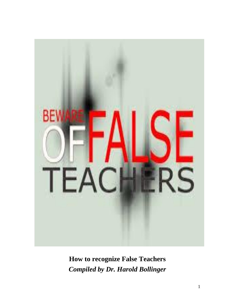

**How to recognize False Teachers** *Compiled by Dr. Harold Bollinger*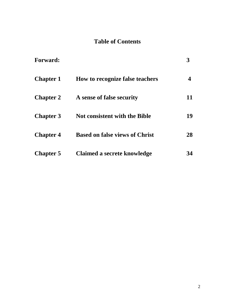# **Table of Contents**

| <b>Forward:</b>  |                                       |    |
|------------------|---------------------------------------|----|
| <b>Chapter 1</b> | How to recognize false teachers       |    |
| <b>Chapter 2</b> | A sense of false security             | 11 |
| <b>Chapter 3</b> | <b>Not consistent with the Bible</b>  | 19 |
| <b>Chapter 4</b> | <b>Based on false views of Christ</b> | 28 |
| <b>Chapter 5</b> | Claimed a secrete knowledge           | 34 |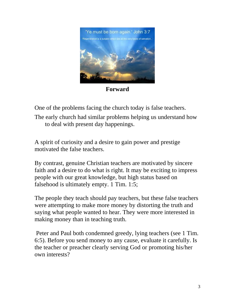

**Forward**

One of the problems facing the church today is false teachers.

The early church had similar problems helping us understand how to deal with present day happenings.

A spirit of curiosity and a desire to gain power and prestige motivated the false teachers.

By contrast, genuine Christian teachers are motivated by sincere faith and a desire to do what is right. It may be exciting to impress people with our great knowledge, but high status based on falsehood is ultimately empty. 1 Tim. 1:5;

The people they teach should pay teachers, but these false teachers were attempting to make more money by distorting the truth and saying what people wanted to hear. They were more interested in making money than in teaching truth.

Peter and Paul both condemned greedy, lying teachers (see 1 Tim. 6:5). Before you send money to any cause, evaluate it carefully. Is the teacher or preacher clearly serving God or promoting his/her own interests?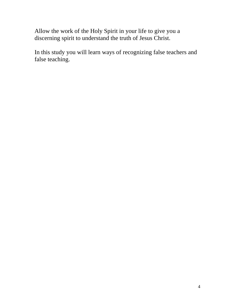Allow the work of the Holy Spirit in your life to give you a discerning spirit to understand the truth of Jesus Christ.

In this study you will learn ways of recognizing false teachers and false teaching.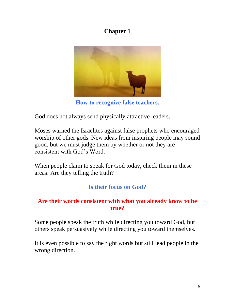# **Chapter 1**



**How to recognize false teachers.**

God does not always send physically attractive leaders.

Moses warned the Israelites against false prophets who encouraged worship of other gods. New ideas from inspiring people may sound good, but we must judge them by whether or not they are consistent with God's Word.

When people claim to speak for God today, check them in these areas: Are they telling the truth?

# **Is their focus on God?**

#### **Are their words consistent with what you already know to be true?**

Some people speak the truth while directing you toward God, but others speak persuasively while directing you toward themselves.

It is even possible to say the right words but still lead people in the wrong direction.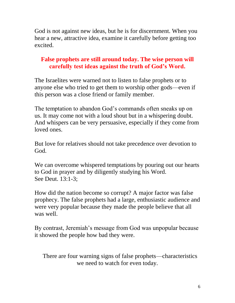God is not against new ideas, but he is for discernment. When you hear a new, attractive idea, examine it carefully before getting too excited.

### **False prophets are still around today. The wise person will carefully test ideas against the truth of God's Word.**

The Israelites were warned not to listen to false prophets or to anyone else who tried to get them to worship other gods—even if this person was a close friend or family member.

The temptation to abandon God's commands often sneaks up on us. It may come not with a loud shout but in a whispering doubt. And whispers can be very persuasive, especially if they come from loved ones.

But love for relatives should not take precedence over devotion to God.

We can overcome whispered temptations by pouring out our hearts to God in prayer and by diligently studying his Word. See Deut. 13:1-3;

How did the nation become so corrupt? A major factor was false prophecy. The false prophets had a large, enthusiastic audience and were very popular because they made the people believe that all was well.

By contrast, Jeremiah's message from God was unpopular because it showed the people how bad they were.

There are four warning signs of false prophets—characteristics we need to watch for even today.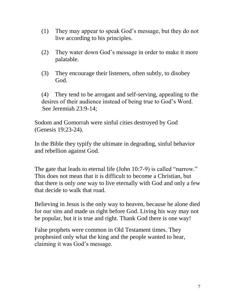- (1) They may appear to speak God's message, but they do not live according to his principles.
- (2) They water down God's message in order to make it more palatable.
- (3) They encourage their listeners, often subtly, to disobey God.

(4) They tend to be arrogant and self-serving, appealing to the desires of their audience instead of being true to God's Word. See Jeremiah 23:9-14;

Sodom and Gomorrah were sinful cities destroyed by God (Genesis 19:23-24).

In the Bible they typify the ultimate in degrading, sinful behavior and rebellion against God.

The gate that leads to eternal life (John 10:7-9) is called "narrow." This does not mean that it is difficult to become a Christian, but that there is only *one* way to live eternally with God and only a few that decide to walk that road.

Believing in Jesus is the only way to heaven, because he alone died for our sins and made us right before God. Living his way may not be popular, but it is true and right. Thank God there is one way!

False prophets were common in Old Testament times. They prophesied only what the king and the people wanted to hear, claiming it was God's message.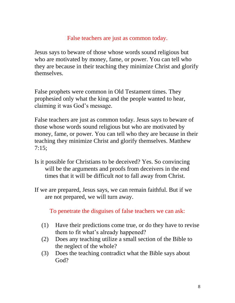#### False teachers are just as common today.

Jesus says to beware of those whose words sound religious but who are motivated by money, fame, or power. You can tell who they are because in their teaching they minimize Christ and glorify themselves.

False prophets were common in Old Testament times. They prophesied only what the king and the people wanted to hear, claiming it was God's message.

False teachers are just as common today. Jesus says to beware of those whose words sound religious but who are motivated by money, fame, or power. You can tell who they are because in their teaching they minimize Christ and glorify themselves. Matthew 7:15;

- Is it possible for Christians to be deceived? Yes. So convincing will be the arguments and proofs from deceivers in the end times that it will be difficult *not* to fall away from Christ.
- If we are prepared, Jesus says, we can remain faithful. But if we are not prepared, we will turn away.

To penetrate the disguises of false teachers we can ask:

- (1) Have their predictions come true, or do they have to revise them to fit what's already happened?
- (2) Does any teaching utilize a small section of the Bible to the neglect of the whole?
- (3) Does the teaching contradict what the Bible says about God?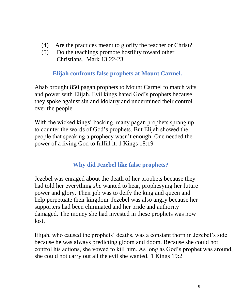- (4) Are the practices meant to glorify the teacher or Christ?
- (5) Do the teachings promote hostility toward other Christians. Mark 13:22-23

**Elijah confronts false prophets at Mount Carmel.**

Ahab brought 850 pagan prophets to Mount Carmel to match wits and power with Elijah. Evil kings hated God's prophets because they spoke against sin and idolatry and undermined their control over the people.

With the wicked kings' backing, many pagan prophets sprang up to counter the words of God's prophets. But Elijah showed the people that speaking a prophecy wasn't enough. One needed the power of a living God to fulfill it. 1 Kings 18:19

# **Why did Jezebel like false prophets?**

Jezebel was enraged about the death of her prophets because they had told her everything *she* wanted to hear, prophesying her future power and glory. Their job was to deify the king and queen and help perpetuate their kingdom. Jezebel was also angry because her supporters had been eliminated and her pride and authority damaged. The money she had invested in these prophets was now lost.

Elijah, who caused the prophets' deaths, was a constant thorn in Jezebel's side because he was always predicting gloom and doom. Because she could not control his actions, she vowed to kill him. As long as God's prophet was around, she could not carry out all the evil she wanted. 1 Kings 19:2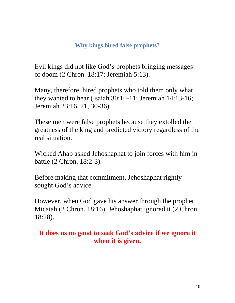### **Why kings hired false prophets?**

Evil kings did not like God's prophets bringing messages of doom (2 Chron. 18:17; Jeremiah 5:13).

Many, therefore, hired prophets who told them only what they wanted to hear (Isaiah 30:10-11; Jeremiah 14:13-16; Jeremiah 23:16, 21, 30-36).

These men were false prophets because they extolled the greatness of the king and predicted victory regardless of the real situation.

Wicked Ahab asked Jehoshaphat to join forces with him in battle (2 Chron. 18:2-3).

Before making that commitment, Jehoshaphat rightly sought God's advice.

However, when God gave his answer through the prophet Micaiah (2 Chron. 18:16), Jehoshaphat ignored it (2 Chron. 18:28).

# **It does us no good to seek God's advice if we ignore it when it is given.**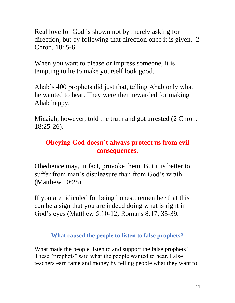Real love for God is shown not by merely asking for direction, but by following that direction once it is given. 2 Chron. 18: 5-6

When you want to please or impress someone, it is tempting to lie to make yourself look good.

Ahab's 400 prophets did just that, telling Ahab only what he wanted to hear. They were then rewarded for making Ahab happy.

Micaiah, however, told the truth and got arrested (2 Chron. 18:25-26).

# **Obeying God doesn't always protect us from evil consequences.**

Obedience may, in fact, provoke them. But it is better to suffer from man's displeasure than from God's wrath (Matthew 10:28).

If you are ridiculed for being honest, remember that this can be a sign that you are indeed doing what is right in God's eyes (Matthew 5:10-12; Romans 8:17, 35-39.

**What caused the people to listen to false prophets?**

What made the people listen to and support the false prophets? These "prophets" said what the people wanted to hear. False teachers earn fame and money by telling people what they want to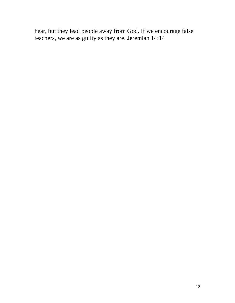hear, but they lead people away from God. If we encourage false teachers, we are as guilty as they are. Jeremiah 14:14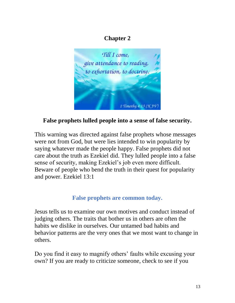# **Chapter 2**



# **False prophets lulled people into a sense of false security.**

This warning was directed against false prophets whose messages were not from God, but were lies intended to win popularity by saying whatever made the people happy. False prophets did not care about the truth as Ezekiel did. They lulled people into a false sense of security, making Ezekiel's job even more difficult. Beware of people who bend the truth in their quest for popularity and power. Ezekiel 13:1

### **False prophets are common today.**

Jesus tells us to examine our own motives and conduct instead of judging others. The traits that bother us in others are often the habits we dislike in ourselves. Our untamed bad habits and behavior patterns are the very ones that we most want to change in others.

Do you find it easy to magnify others' faults while excusing your own? If you are ready to criticize someone, check to see if you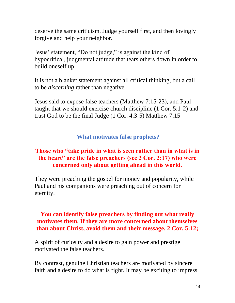deserve the same criticism. Judge yourself first, and then lovingly forgive and help your neighbor.

Jesus' statement, "Do not judge," is against the kind of hypocritical, judgmental attitude that tears others down in order to build oneself up.

It is not a blanket statement against all critical thinking, but a call to be *discerning* rather than negative.

Jesus said to expose false teachers (Matthew 7:15-23), and Paul taught that we should exercise church discipline (1 Cor. 5:1-2) and trust God to be the final Judge (1 Cor. 4:3-5) Matthew 7:15

### **What motivates false prophets?**

#### **Those who "take pride in what is seen rather than in what is in the heart" are the false preachers (see 2 Cor. 2:17) who were concerned only about getting ahead in this world.**

They were preaching the gospel for money and popularity, while Paul and his companions were preaching out of concern for eternity.

#### **You can identify false preachers by finding out what really motivates them. If they are more concerned about themselves than about Christ, avoid them and their message. 2 Cor. 5:12;**

A spirit of curiosity and a desire to gain power and prestige motivated the false teachers.

By contrast, genuine Christian teachers are motivated by sincere faith and a desire to do what is right. It may be exciting to impress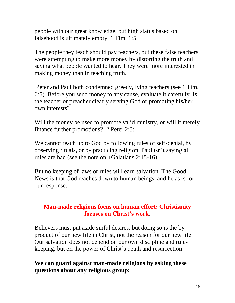people with our great knowledge, but high status based on falsehood is ultimately empty. 1 Tim. 1:5;

The people they teach should pay teachers, but these false teachers were attempting to make more money by distorting the truth and saying what people wanted to hear. They were more interested in making money than in teaching truth.

Peter and Paul both condemned greedy, lying teachers (see 1 Tim. 6:5). Before you send money to any cause, evaluate it carefully. Is the teacher or preacher clearly serving God or promoting his/her own interests?

Will the money be used to promote valid ministry, or will it merely finance further promotions? 2 Peter 2:3;

We cannot reach up to God by following rules of self-denial, by observing rituals, or by practicing religion. Paul isn't saying all rules are bad (see the note on +Galatians 2:15-16).

But no keeping of laws or rules will earn salvation. The Good News is that God reaches down to human beings, and he asks for our response.

#### **Man-made religions focus on human effort; Christianity focuses on Christ's work**.

Believers must put aside sinful desires, but doing so is the byproduct of our new life in Christ, not the reason for our new life. Our salvation does not depend on our own discipline and rulekeeping, but on the power of Christ's death and resurrection.

### **We can guard against man-made religions by asking these questions about any religious group:**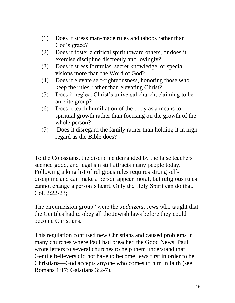- (1) Does it stress man-made rules and taboos rather than God's grace?
- (2) Does it foster a critical spirit toward others, or does it exercise discipline discreetly and lovingly?
- (3) Does it stress formulas, secret knowledge, or special visions more than the Word of God?
- (4) Does it elevate self-righteousness, honoring those who keep the rules, rather than elevating Christ?
- (5) Does it neglect Christ's universal church, claiming to be an elite group?
- (6) Does it teach humiliation of the body as a means to spiritual growth rather than focusing on the growth of the whole person?
- (7) Does it disregard the family rather than holding it in high regard as the Bible does?

To the Colossians, the discipline demanded by the false teachers seemed good, and legalism still attracts many people today. Following a long list of religious rules requires strong selfdiscipline and can make a person appear moral, but religious rules cannot change a person's heart. Only the Holy Spirit can do that. Col. 2:22-23;

The circumcision group" were the *Judaizers,* Jews who taught that the Gentiles had to obey all the Jewish laws before they could become Christians.

This regulation confused new Christians and caused problems in many churches where Paul had preached the Good News. Paul wrote letters to several churches to help them understand that Gentile believers did not have to become Jews first in order to be Christians—God accepts anyone who comes to him in faith (see Romans 1:17; Galatians 3:2-7).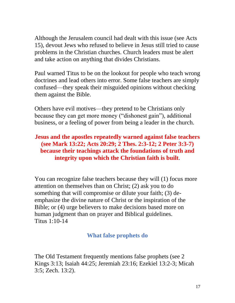Although the Jerusalem council had dealt with this issue (see Acts 15), devout Jews who refused to believe in Jesus still tried to cause problems in the Christian churches. Church leaders must be alert and take action on anything that divides Christians.

Paul warned Titus to be on the lookout for people who teach wrong doctrines and lead others into error. Some false teachers are simply confused—they speak their misguided opinions without checking them against the Bible.

Others have evil motives—they pretend to be Christians only because they can get more money ("dishonest gain"), additional business, or a feeling of power from being a leader in the church.

### **Jesus and the apostles repeatedly warned against false teachers (see Mark 13:22; Acts 20:29; 2 Thes. 2:3-12; 2 Peter 3:3-7) because their teachings attack the foundations of truth and integrity upon which the Christian faith is built**.

You can recognize false teachers because they will (1) focus more attention on themselves than on Christ; (2) ask you to do something that will compromise or dilute your faith; (3) deemphasize the divine nature of Christ or the inspiration of the Bible; or (4) urge believers to make decisions based more on human judgment than on prayer and Biblical guidelines. Titus 1:10-14

### **What false prophets do**

The Old Testament frequently mentions false prophets (see 2 Kings 3:13; Isaiah 44:25; Jeremiah 23:16; Ezekiel 13:2-3; Micah 3:5; Zech. 13:2).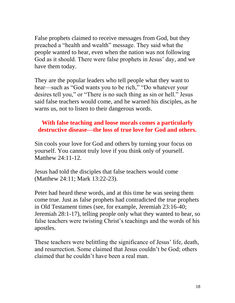False prophets claimed to receive messages from God, but they preached a "health and wealth" message. They said what the people wanted to hear, even when the nation was not following God as it should. There were false prophets in Jesus' day, and we have them today.

They are the popular leaders who tell people what they want to hear—such as "God wants you to be rich," "Do whatever your desires tell you," or "There is no such thing as sin or hell." Jesus said false teachers would come, and he warned his disciples, as he warns us, not to listen to their dangerous words.

#### **With false teaching and loose morals comes a particularly destructive disease—the loss of true love for God and others.**

Sin cools your love for God and others by turning your focus on yourself. You cannot truly love if you think only of yourself. Matthew 24:11-12.

Jesus had told the disciples that false teachers would come (Matthew 24:11; Mark 13:22-23).

Peter had heard these words, and at this time he was seeing them come true. Just as false prophets had contradicted the true prophets in Old Testament times (see, for example, Jeremiah 23:16-40; Jeremiah 28:1-17), telling people only what they wanted to hear, so false teachers were twisting Christ's teachings and the words of his apostles.

These teachers were belittling the significance of Jesus' life, death, and resurrection. Some claimed that Jesus couldn't be God; others claimed that he couldn't have been a real man.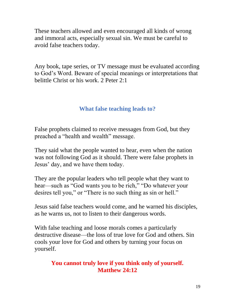These teachers allowed and even encouraged all kinds of wrong and immoral acts, especially sexual sin. We must be careful to avoid false teachers today.

Any book, tape series, or TV message must be evaluated according to God's Word. Beware of special meanings or interpretations that belittle Christ or his work. 2 Peter 2:1

### **What false teaching leads to?**

False prophets claimed to receive messages from God, but they preached a "health and wealth" message.

They said what the people wanted to hear, even when the nation was not following God as it should. There were false prophets in Jesus' day, and we have them today.

They are the popular leaders who tell people what they want to hear—such as "God wants you to be rich," "Do whatever your desires tell you," or "There is no such thing as sin or hell."

Jesus said false teachers would come, and he warned his disciples, as he warns us, not to listen to their dangerous words.

With false teaching and loose morals comes a particularly destructive disease—the loss of true love for God and others. Sin cools your love for God and others by turning your focus on yourself.

### **You cannot truly love if you think only of yourself. Matthew 24:12**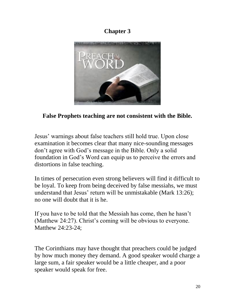# **Chapter 3**



# **False Prophets teaching are not consistent with the Bible.**

Jesus' warnings about false teachers still hold true. Upon close examination it becomes clear that many nice-sounding messages don't agree with God's message in the Bible. Only a solid foundation in God's Word can equip us to perceive the errors and distortions in false teaching.

In times of persecution even strong believers will find it difficult to be loyal. To keep from being deceived by false messiahs, we must understand that Jesus' return will be unmistakable (Mark 13:26); no one will doubt that it is he.

If you have to be told that the Messiah has come, then he hasn't (Matthew 24:27). Christ's coming will be obvious to everyone. Matthew 24:23-24;

The Corinthians may have thought that preachers could be judged by how much money they demand. A good speaker would charge a large sum, a fair speaker would be a little cheaper, and a poor speaker would speak for free.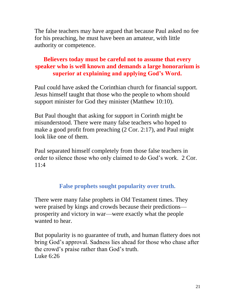The false teachers may have argued that because Paul asked no fee for his preaching, he must have been an amateur, with little authority or competence.

# **Believers today must be careful not to assume that every speaker who is well known and demands a large honorarium is superior at explaining and applying God's Word.**

Paul could have asked the Corinthian church for financial support. Jesus himself taught that those who the people to whom should support minister for God they minister (Matthew 10:10).

But Paul thought that asking for support in Corinth might be misunderstood. There were many false teachers who hoped to make a good profit from preaching (2 Cor. 2:17), and Paul might look like one of them.

Paul separated himself completely from those false teachers in order to silence those who only claimed to do God's work. 2 Cor.  $11:4$ 

# **False prophets sought popularity over truth.**

There were many false prophets in Old Testament times. They were praised by kings and crowds because their predictions prosperity and victory in war—were exactly what the people wanted to hear.

But popularity is no guarantee of truth, and human flattery does not bring God's approval. Sadness lies ahead for those who chase after the crowd's praise rather than God's truth. Luke 6:26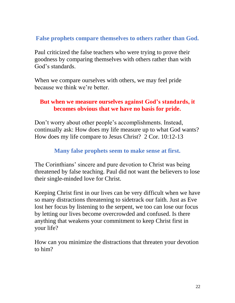### **False prophets compare themselves to others rather than God.**

Paul criticized the false teachers who were trying to prove their goodness by comparing themselves with others rather than with God's standards.

When we compare ourselves with others, we may feel pride because we think we're better.

#### **But when we measure ourselves against God's standards, it becomes obvious that we have no basis for pride.**

Don't worry about other people's accomplishments. Instead, continually ask: How does my life measure up to what God wants? How does my life compare to Jesus Christ? 2 Cor. 10:12-13

#### **Many false prophets seem to make sense at first.**

The Corinthians' sincere and pure devotion to Christ was being threatened by false teaching. Paul did not want the believers to lose their single-minded love for Christ.

Keeping Christ first in our lives can be very difficult when we have so many distractions threatening to sidetrack our faith. Just as Eve lost her focus by listening to the serpent, we too can lose our focus by letting our lives become overcrowded and confused. Is there anything that weakens your commitment to keep Christ first in your life?

How can you minimize the distractions that threaten your devotion to him?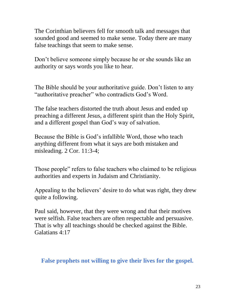The Corinthian believers fell for smooth talk and messages that sounded good and seemed to make sense. Today there are many false teachings that seem to make sense.

Don't believe someone simply because he or she sounds like an authority or says words you like to hear.

The Bible should be your authoritative guide. Don't listen to any "authoritative preacher" who contradicts God's Word.

The false teachers distorted the truth about Jesus and ended up preaching a different Jesus, a different spirit than the Holy Spirit, and a different gospel than God's way of salvation.

Because the Bible is God's infallible Word, those who teach anything different from what it says are both mistaken and misleading. 2 Cor. 11:3-4;

Those people" refers to false teachers who claimed to be religious authorities and experts in Judaism and Christianity.

Appealing to the believers' desire to do what was right, they drew quite a following.

Paul said, however, that they were wrong and that their motives were selfish. False teachers are often respectable and persuasive. That is why all teachings should be checked against the Bible. Galatians 4:17

#### **False prophets not willing to give their lives for the gospel.**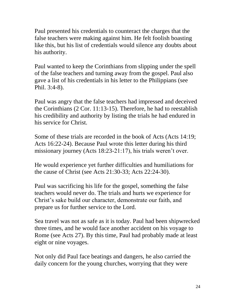Paul presented his credentials to counteract the charges that the false teachers were making against him. He felt foolish boasting like this, but his list of credentials would silence any doubts about his authority.

Paul wanted to keep the Corinthians from slipping under the spell of the false teachers and turning away from the gospel. Paul also gave a list of his credentials in his letter to the Philippians (see Phil. 3:4-8).

Paul was angry that the false teachers had impressed and deceived the Corinthians (2 Cor. 11:13-15). Therefore, he had to reestablish his credibility and authority by listing the trials he had endured in his service for Christ.

Some of these trials are recorded in the book of Acts (Acts 14:19; Acts 16:22-24). Because Paul wrote this letter during his third missionary journey (Acts 18:23-21:17), his trials weren't over.

He would experience yet further difficulties and humiliations for the cause of Christ (see Acts 21:30-33; Acts 22:24-30).

Paul was sacrificing his life for the gospel, something the false teachers would never do. The trials and hurts we experience for Christ's sake build our character, demonstrate our faith, and prepare us for further service to the Lord.

Sea travel was not as safe as it is today. Paul had been shipwrecked three times, and he would face another accident on his voyage to Rome (see Acts 27). By this time, Paul had probably made at least eight or nine voyages.

Not only did Paul face beatings and dangers, he also carried the daily concern for the young churches, worrying that they were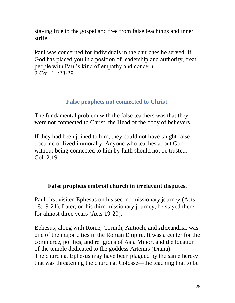staying true to the gospel and free from false teachings and inner strife.

Paul was concerned for individuals in the churches he served. If God has placed you in a position of leadership and authority, treat people with Paul's kind of empathy and concern 2 Cor. 11:23-29

### **False prophets not connected to Christ.**

The fundamental problem with the false teachers was that they were not connected to Christ, the Head of the body of believers.

If they had been joined to him, they could not have taught false doctrine or lived immorally. Anyone who teaches about God without being connected to him by faith should not be trusted. Col. 2:19

# **False prophets embroil church in irrelevant disputes.**

Paul first visited Ephesus on his second missionary journey (Acts 18:19-21). Later, on his third missionary journey, he stayed there for almost three years (Acts 19-20).

Ephesus, along with Rome, Corinth, Antioch, and Alexandria, was one of the major cities in the Roman Empire. It was a center for the commerce, politics, and religions of Asia Minor, and the location of the temple dedicated to the goddess Artemis (Diana). The church at Ephesus may have been plagued by the same heresy that was threatening the church at Colosse—the teaching that to be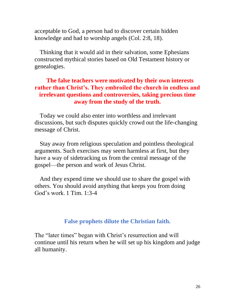acceptable to God, a person had to discover certain hidden knowledge and had to worship angels (Col. 2:8, 18).

Thinking that it would aid in their salvation, some Ephesians constructed mythical stories based on Old Testament history or genealogies.

#### **The false teachers were motivated by their own interests rather than Christ's. They embroiled the church in endless and irrelevant questions and controversies, taking precious time away from the study of the truth.**

Today we could also enter into worthless and irrelevant discussions, but such disputes quickly crowd out the life-changing message of Christ.

Stay away from religious speculation and pointless theological arguments. Such exercises may seem harmless at first, but they have a way of sidetracking us from the central message of the gospel—the person and work of Jesus Christ.

And they expend time we should use to share the gospel with others. You should avoid anything that keeps you from doing God's work. 1 Tim. 1:3-4

#### **False prophets dilute the Christian faith.**

The "later times" began with Christ's resurrection and will continue until his return when he will set up his kingdom and judge all humanity.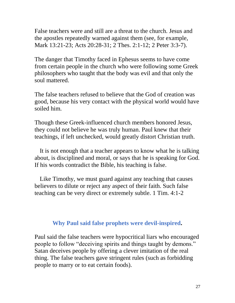False teachers were and still are a threat to the church. Jesus and the apostles repeatedly warned against them (see, for example, Mark 13:21-23; Acts 20:28-31; 2 Thes. 2:1-12; 2 Peter 3:3-7).

The danger that Timothy faced in Ephesus seems to have come from certain people in the church who were following some Greek philosophers who taught that the body was evil and that only the soul mattered.

The false teachers refused to believe that the God of creation was good, because his very contact with the physical world would have soiled him.

Though these Greek-influenced church members honored Jesus, they could not believe he was truly human. Paul knew that their teachings, if left unchecked, would greatly distort Christian truth.

It is not enough that a teacher appears to know what he is talking about, is disciplined and moral, or says that he is speaking for God. If his words contradict the Bible, his teaching is false.

Like Timothy, we must guard against any teaching that causes believers to dilute or reject any aspect of their faith. Such false teaching can be very direct or extremely subtle. 1 Tim. 4:1-2

#### **Why Paul said false prophets were devil-inspired.**

Paul said the false teachers were hypocritical liars who encouraged people to follow "deceiving spirits and things taught by demons." Satan deceives people by offering a clever imitation of the real thing. The false teachers gave stringent rules (such as forbidding people to marry or to eat certain foods).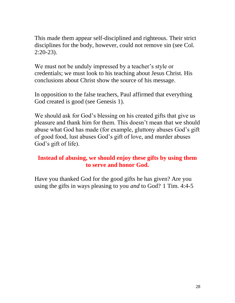This made them appear self-disciplined and righteous. Their strict disciplines for the body, however, could not remove sin (see Col. 2:20-23).

We must not be unduly impressed by a teacher's style or credentials; we must look to his teaching about Jesus Christ. His conclusions about Christ show the source of his message.

In opposition to the false teachers, Paul affirmed that everything God created is good (see Genesis 1).

We should ask for God's blessing on his created gifts that give us pleasure and thank him for them. This doesn't mean that we should abuse what God has made (for example, gluttony abuses God's gift of good food, lust abuses God's gift of love, and murder abuses God's gift of life).

#### **Instead of abusing, we should enjoy these gifts by using them to serve and honor God.**

Have you thanked God for the good gifts he has given? Are you using the gifts in ways pleasing to you *and* to God? 1 Tim. 4:4-5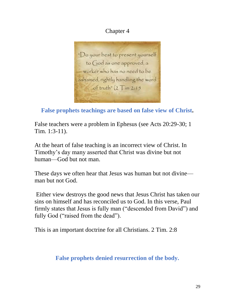# Chapter 4



**False prophets teachings are based on false view of Christ.**

False teachers were a problem in Ephesus (see Acts 20:29-30; 1 Tim. 1:3-11).

At the heart of false teaching is an incorrect view of Christ. In Timothy's day many asserted that Christ was divine but not human—God but not man.

These days we often hear that Jesus was human but not divine man but not God.

Either view destroys the good news that Jesus Christ has taken our sins on himself and has reconciled us to God. In this verse, Paul firmly states that Jesus is fully man ("descended from David") and fully God ("raised from the dead").

This is an important doctrine for all Christians. 2 Tim. 2:8

# **False prophets denied resurrection of the body.**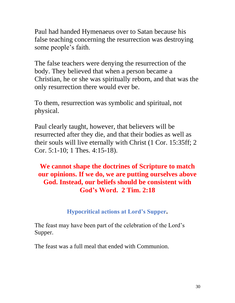Paul had handed Hymenaeus over to Satan because his false teaching concerning the resurrection was destroying some people's faith.

The false teachers were denying the resurrection of the body. They believed that when a person became a Christian, he or she was spiritually reborn, and that was the only resurrection there would ever be.

To them, resurrection was symbolic and spiritual, not physical.

Paul clearly taught, however, that believers will be resurrected after they die, and that their bodies as well as their souls will live eternally with Christ (1 Cor. 15:35ff; 2 Cor. 5:1-10; 1 Thes. 4:15-18).

# **We cannot shape the doctrines of Scripture to match our opinions. If we do, we are putting ourselves above God. Instead, our beliefs should be consistent with God's Word. 2 Tim. 2:18**

### **Hypocritical actions at Lord's Supper.**

The feast may have been part of the celebration of the Lord's Supper.

The feast was a full meal that ended with Communion.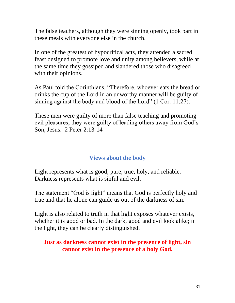The false teachers, although they were sinning openly, took part in these meals with everyone else in the church.

In one of the greatest of hypocritical acts, they attended a sacred feast designed to promote love and unity among believers, while at the same time they gossiped and slandered those who disagreed with their opinions.

As Paul told the Corinthians, "Therefore, whoever eats the bread or drinks the cup of the Lord in an unworthy manner will be guilty of sinning against the body and blood of the Lord" (1 Cor. 11:27).

These men were guilty of more than false teaching and promoting evil pleasures; they were guilty of leading others away from God's Son, Jesus. 2 Peter 2:13-14

# **Views about the body**

Light represents what is good, pure, true, holy, and reliable. Darkness represents what is sinful and evil.

The statement "God is light" means that God is perfectly holy and true and that he alone can guide us out of the darkness of sin.

Light is also related to truth in that light exposes whatever exists, whether it is good or bad. In the dark, good and evil look alike; in the light, they can be clearly distinguished.

### **Just as darkness cannot exist in the presence of light, sin cannot exist in the presence of a holy God.**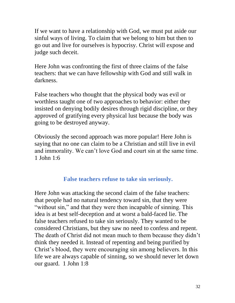If we want to have a relationship with God, we must put aside our sinful ways of living. To claim that we belong to him but then to go out and live for ourselves is hypocrisy. Christ will expose and judge such deceit.

Here John was confronting the first of three claims of the false teachers: that we can have fellowship with God and still walk in darkness.

False teachers who thought that the physical body was evil or worthless taught one of two approaches to behavior: either they insisted on denying bodily desires through rigid discipline, or they approved of gratifying every physical lust because the body was going to be destroyed anyway.

Obviously the second approach was more popular! Here John is saying that no one can claim to be a Christian and still live in evil and immorality. We can't love God and court sin at the same time. 1 John 1:6

### **False teachers refuse to take sin seriously.**

Here John was attacking the second claim of the false teachers: that people had no natural tendency toward sin, that they were "without sin," and that they were then incapable of sinning. This idea is at best self-deception and at worst a bald-faced lie. The false teachers refused to take sin seriously. They wanted to be considered Christians, but they saw no need to confess and repent. The death of Christ did not mean much to them because they didn't think they needed it. Instead of repenting and being purified by Christ's blood, they were encouraging sin among believers. In this life we are always capable of sinning, so we should never let down our guard. 1 John 1:8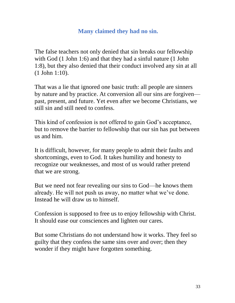### **Many claimed they had no sin.**

The false teachers not only denied that sin breaks our fellowship with God (1 John 1:6) and that they had a sinful nature (1 John 1:8), but they also denied that their conduct involved any sin at all (1 John 1:10).

That was a lie that ignored one basic truth: all people are sinners by nature and by practice. At conversion all our sins are forgiven past, present, and future. Yet even after we become Christians, we still sin and still need to confess.

This kind of confession is not offered to gain God's acceptance, but to remove the barrier to fellowship that our sin has put between us and him.

It is difficult, however, for many people to admit their faults and shortcomings, even to God. It takes humility and honesty to recognize our weaknesses, and most of us would rather pretend that we are strong.

But we need not fear revealing our sins to God—he knows them already. He will not push us away, no matter what we've done. Instead he will draw us to himself.

Confession is supposed to free us to enjoy fellowship with Christ. It should ease our consciences and lighten our cares.

But some Christians do not understand how it works. They feel so guilty that they confess the same sins over and over; then they wonder if they might have forgotten something.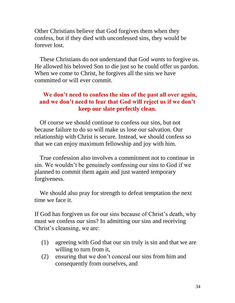Other Christians believe that God forgives them when they confess, but if they died with unconfessed sins, they would be forever lost.

These Christians do not understand that God *wants* to forgive us. He allowed his beloved Son to die just so he could offer us pardon. When we come to Christ, he forgives all the sins we have committed or will ever commit.

### **We don't need to confess the sins of the past all over again, and we don't need to fear that God will reject us if we don't keep our slate perfectly clean.**

Of course we should continue to confess our sins, but not because failure to do so will make us lose our salvation. Our relationship with Christ is secure. Instead, we should confess so that we can enjoy maximum fellowship and joy with him.

True confession also involves a commitment not to continue in sin. We wouldn't be genuinely confessing our sins to God if we planned to commit them again and just wanted temporary forgiveness.

We should also pray for strength to defeat temptation the next time we face it.

If God has forgiven us for our sins because of Christ's death, why must we confess our sins? In admitting our sins and receiving Christ's cleansing, we are:

- (1) agreeing with God that our sin truly is sin and that we are willing to turn from it,
- (2) ensuring that we don't conceal our sins from him and consequently from ourselves, and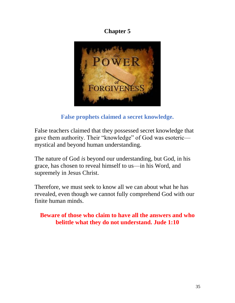# **Chapter 5**



**False prophets claimed a secret knowledge.**

False teachers claimed that they possessed secret knowledge that gave them authority. Their "knowledge" of God was esoteric mystical and beyond human understanding.

The nature of God *is* beyond our understanding, but God, in his grace, has chosen to reveal himself to us—in his Word, and supremely in Jesus Christ.

Therefore, we must seek to know all we can about what he has revealed, even though we cannot fully comprehend God with our finite human minds.

**Beware of those who claim to have all the answers and who belittle what they do not understand. Jude 1:10**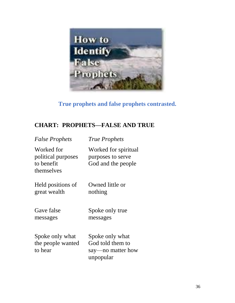

# **True prophets and false prophets contrasted.**

# **CHART: PROPHETS—FALSE AND TRUE**

| <b>False Prophets</b>                                        | <b>True Prophets</b>                                                  |
|--------------------------------------------------------------|-----------------------------------------------------------------------|
| Worked for<br>political purposes<br>to benefit<br>themselves | Worked for spiritual<br>purposes to serve<br>God and the people       |
| Held positions of<br>great wealth                            | Owned little or<br>nothing                                            |
| Gave false<br>messages                                       | Spoke only true<br>messages                                           |
| Spoke only what<br>the people wanted<br>to hear              | Spoke only what<br>God told them to<br>say—no matter how<br>unpopular |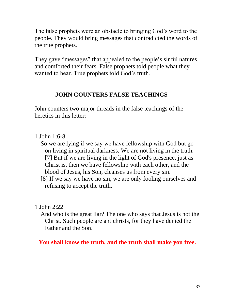The false prophets were an obstacle to bringing God's word to the people. They would bring messages that contradicted the words of the true prophets.

They gave "messages" that appealed to the people's sinful natures and comforted their fears. False prophets told people what they wanted to hear. True prophets told God's truth.

#### **JOHN COUNTERS FALSE TEACHINGS**

John counters two major threads in the false teachings of the heretics in this letter:

- 1 John 1:6-8
	- So we are lying if we say we have fellowship with God but go on living in spiritual darkness. We are not living in the truth. [7] But if we are living in the light of God's presence, just as Christ is, then we have fellowship with each other, and the blood of Jesus, his Son, cleanses us from every sin.

 [8] If we say we have no sin, we are only fooling ourselves and refusing to accept the truth.

1 John 2:22

 And who is the great liar? The one who says that Jesus is not the Christ. Such people are antichrists, for they have denied the Father and the Son.

**You shall know the truth, and the truth shall make you free.**